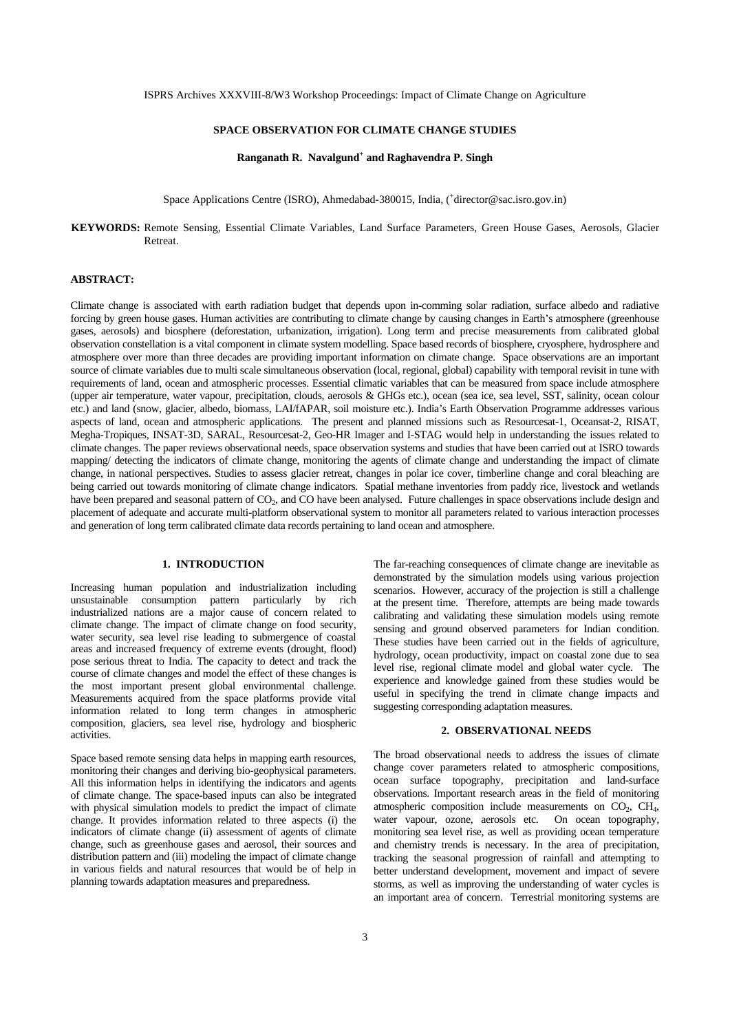### **SPACE OBSERVATION FOR CLIMATE CHANGE STUDIES**

# **Ranganath R. Navalgund+ and Raghavendra P. Singh**

Space Applications Centre (ISRO), Ahmedabad-380015, India, ('director@sac.isro.gov.in)

### **KEYWORDS:** Remote Sensing, Essential Climate Variables, Land Surface Parameters, Green House Gases, Aerosols, Glacier Retreat.

## **ABSTRACT:**

Climate change is associated with earth radiation budget that depends upon in-comming solar radiation, surface albedo and radiative forcing by green house gases. Human activities are contributing to climate change by causing changes in Earth's atmosphere (greenhouse gases, aerosols) and biosphere (deforestation, urbanization, irrigation). Long term and precise measurements from calibrated global observation constellation is a vital component in climate system modelling. Space based records of biosphere, cryosphere, hydrosphere and atmosphere over more than three decades are providing important information on climate change. Space observations are an important source of climate variables due to multi scale simultaneous observation (local, regional, global) capability with temporal revisit in tune with requirements of land, ocean and atmospheric processes. Essential climatic variables that can be measured from space include atmosphere (upper air temperature, water vapour, precipitation, clouds, aerosols & GHGs etc.), ocean (sea ice, sea level, SST, salinity, ocean colour etc.) and land (snow, glacier, albedo, biomass, LAI/fAPAR, soil moisture etc.). India's Earth Observation Programme addresses various aspects of land, ocean and atmospheric applications. The present and planned missions such as Resourcesat-1, Oceansat-2, RISAT, Megha-Tropiques, INSAT-3D, SARAL, Resourcesat-2, Geo-HR Imager and I-STAG would help in understanding the issues related to climate changes. The paper reviews observational needs, space observation systems and studies that have been carried out at ISRO towards mapping/ detecting the indicators of climate change, monitoring the agents of climate change and understanding the impact of climate change, in national perspectives. Studies to assess glacier retreat, changes in polar ice cover, timberline change and coral bleaching are being carried out towards monitoring of climate change indicators. Spatial methane inventories from paddy rice, livestock and wetlands have been prepared and seasonal pattern of CO<sub>2</sub>, and CO have been analysed. Future challenges in space observations include design and placement of adequate and accurate multi-platform observational system to monitor all parameters related to various interaction processes and generation of long term calibrated climate data records pertaining to land ocean and atmosphere.

#### **1. INTRODUCTION**

Increasing human population and industrialization including unsustainable consumption pattern particularly by rich industrialized nations are a major cause of concern related to climate change. The impact of climate change on food security, water security, sea level rise leading to submergence of coastal areas and increased frequency of extreme events (drought, flood) pose serious threat to India. The capacity to detect and track the course of climate changes and model the effect of these changes is the most important present global environmental challenge. Measurements acquired from the space platforms provide vital information related to long term changes in atmospheric composition, glaciers, sea level rise, hydrology and biospheric activities.

Space based remote sensing data helps in mapping earth resources, monitoring their changes and deriving bio-geophysical parameters. All this information helps in identifying the indicators and agents of climate change. The space-based inputs can also be integrated with physical simulation models to predict the impact of climate change. It provides information related to three aspects (i) the indicators of climate change (ii) assessment of agents of climate change, such as greenhouse gases and aerosol, their sources and distribution pattern and (iii) modeling the impact of climate change in various fields and natural resources that would be of help in planning towards adaptation measures and preparedness.

The far-reaching consequences of climate change are inevitable as demonstrated by the simulation models using various projection scenarios. However, accuracy of the projection is still a challenge at the present time. Therefore, attempts are being made towards calibrating and validating these simulation models using remote sensing and ground observed parameters for Indian condition. These studies have been carried out in the fields of agriculture, hydrology, ocean productivity, impact on coastal zone due to sea level rise, regional climate model and global water cycle. The experience and knowledge gained from these studies would be useful in specifying the trend in climate change impacts and suggesting corresponding adaptation measures.

# **2. OBSERVATIONAL NEEDS**

The broad observational needs to address the issues of climate change cover parameters related to atmospheric compositions, ocean surface topography, precipitation and land-surface observations. Important research areas in the field of monitoring atmospheric composition include measurements on  $CO<sub>2</sub>$ ,  $CH<sub>4</sub>$ , water vapour, ozone, aerosols etc. On ocean topography, monitoring sea level rise, as well as providing ocean temperature and chemistry trends is necessary. In the area of precipitation, tracking the seasonal progression of rainfall and attempting to better understand development, movement and impact of severe storms, as well as improving the understanding of water cycles is an important area of concern. Terrestrial monitoring systems are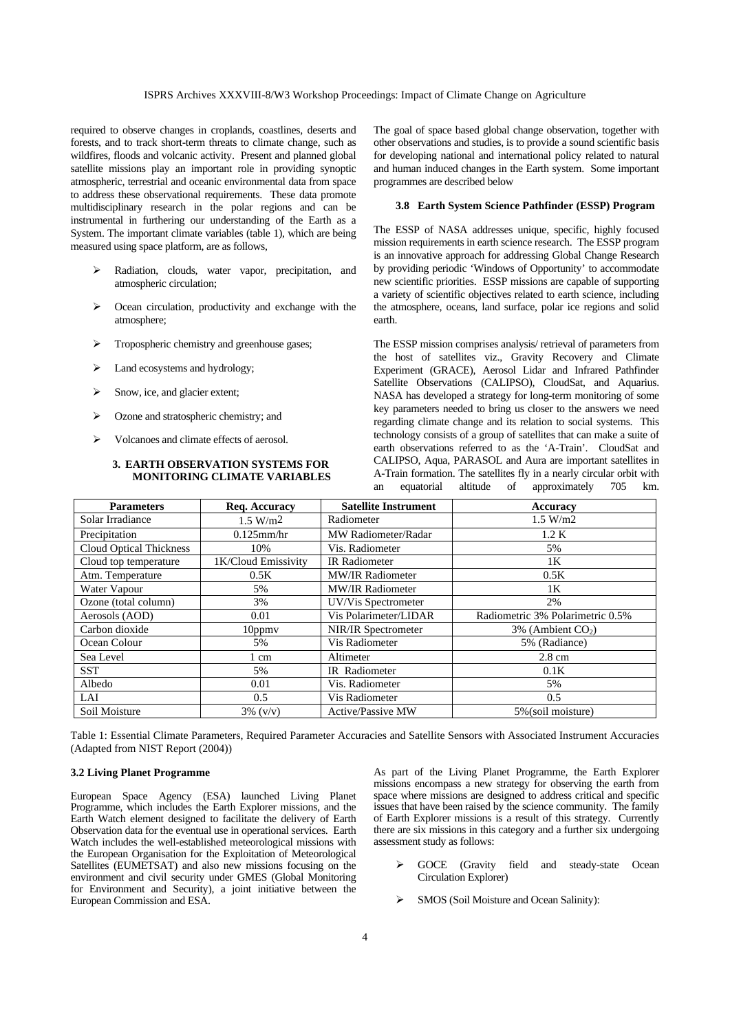#### ISPRS Archives XXXVIII-8/W3 Workshop Proceedings: Impact of Climate Change on Agriculture

required to observe changes in croplands, coastlines, deserts and forests, and to track short-term threats to climate change, such as wildfires, floods and volcanic activity. Present and planned global satellite missions play an important role in providing synoptic atmospheric, terrestrial and oceanic environmental data from space to address these observational requirements. These data promote multidisciplinary research in the polar regions and can be instrumental in furthering our understanding of the Earth as a System. The important climate variables (table 1), which are being measured using space platform, are as follows,

- ¾ Radiation, clouds, water vapor, precipitation, and atmospheric circulation;
- $\geq$  Ocean circulation, productivity and exchange with the atmosphere;
- ¾ Tropospheric chemistry and greenhouse gases;
- $\blacktriangleright$  Land ecosystems and hydrology;
- ¾ Snow, ice, and glacier extent;
- ¾ Ozone and stratospheric chemistry; and
- ¾ Volcanoes and climate effects of aerosol.

#### **3. EARTH OBSERVATION SYSTEMS FOR MONITORING CLIMATE VARIABLES**

The goal of space based global change observation, together with other observations and studies, is to provide a sound scientific basis for developing national and international policy related to natural and human induced changes in the Earth system. Some important programmes are described below

### **3.8 Earth System Science Pathfinder (ESSP) Program**

The ESSP of NASA addresses unique, specific, highly focused mission requirements in earth science research. The ESSP program is an innovative approach for addressing Global Change Research by providing periodic 'Windows of Opportunity' to accommodate new scientific priorities. ESSP missions are capable of supporting a variety of scientific objectives related to earth science, including the atmosphere, oceans, land surface, polar ice regions and solid earth.

The ESSP mission comprises analysis/ retrieval of parameters from the host of satellites viz., Gravity Recovery and Climate Experiment (GRACE), Aerosol Lidar and Infrared Pathfinder Satellite Observations (CALIPSO), CloudSat, and Aquarius. NASA has developed a strategy for long-term monitoring of some key parameters needed to bring us closer to the answers we need regarding climate change and its relation to social systems. This technology consists of a group of satellites that can make a suite of earth observations referred to as the 'A-Train'. CloudSat and CALIPSO, Aqua, PARASOL and Aura are important satellites in A-Train formation. The satellites fly in a nearly circular orbit with an equatorial altitude of approximately 705 km.

| <b>Parameters</b>              | Req. Accuracy        | <b>Satellite Instrument</b> | Accuracy                         |
|--------------------------------|----------------------|-----------------------------|----------------------------------|
| Solar Irradiance               | 1.5 W/m <sup>2</sup> | Radiometer                  | 1.5 W/m2                         |
| Precipitation                  | $0.125$ mm/hr        | MW Radiometer/Radar         | 1.2 K                            |
| <b>Cloud Optical Thickness</b> | 10%                  | Vis. Radiometer             | 5%                               |
| Cloud top temperature          | 1K/Cloud Emissivity  | <b>IR</b> Radiometer        | 1K                               |
| Atm. Temperature               | 0.5K                 | <b>MW/IR Radiometer</b>     | 0.5K                             |
| Water Vapour                   | 5%                   | <b>MW/IR Radiometer</b>     | 1K                               |
| Ozone (total column)           | 3%                   | UV/Vis Spectrometer         | 2%                               |
| Aerosols (AOD)                 | 0.01                 | Vis Polarimeter/LIDAR       | Radiometric 3% Polarimetric 0.5% |
| Carbon dioxide                 | $10$ ppm $v$         | <b>NIR/IR Spectrometer</b>  | $3\%$ (Ambient CO <sub>2</sub> ) |
| Ocean Colour                   | 5%                   | Vis Radiometer              | 5% (Radiance)                    |
| Sea Level                      | 1 cm                 | Altimeter                   | $2.8 \text{ cm}$                 |
| <b>SST</b>                     | 5%                   | IR Radiometer               | 0.1K                             |
| Albedo                         | 0.01                 | Vis. Radiometer             | 5%                               |
| LAI                            | 0.5                  | Vis Radiometer              | 0.5                              |
| Soil Moisture                  | $3\%$ (v/v)          | <b>Active/Passive MW</b>    | 5% (soil moisture)               |

Table 1: Essential Climate Parameters, Required Parameter Accuracies and Satellite Sensors with Associated Instrument Accuracies (Adapted from NIST Report (2004))

#### **3.2 Living Planet Programme**

European Space Agency (ESA) launched Living Planet Programme, which includes the Earth Explorer missions, and the Earth Watch element designed to facilitate the delivery of Earth Observation data for the eventual use in operational services. Earth Watch includes the well-established meteorological missions with the European Organisation for the Exploitation of Meteorological Satellites (EUMETSAT) and also new missions focusing on the environment and civil security under GMES (Global Monitoring for Environment and Security), a joint initiative between the European Commission and ESA.

As part of the Living Planet Programme, the Earth Explorer missions encompass a new strategy for observing the earth from space where missions are designed to address critical and specific issues that have been raised by the science community. The family of Earth Explorer missions is a result of this strategy. Currently there are six missions in this category and a further six undergoing assessment study as follows:

- GOCE (Gravity field and steady-state Ocean Circulation Explorer)
- SMOS (Soil Moisture and Ocean Salinity):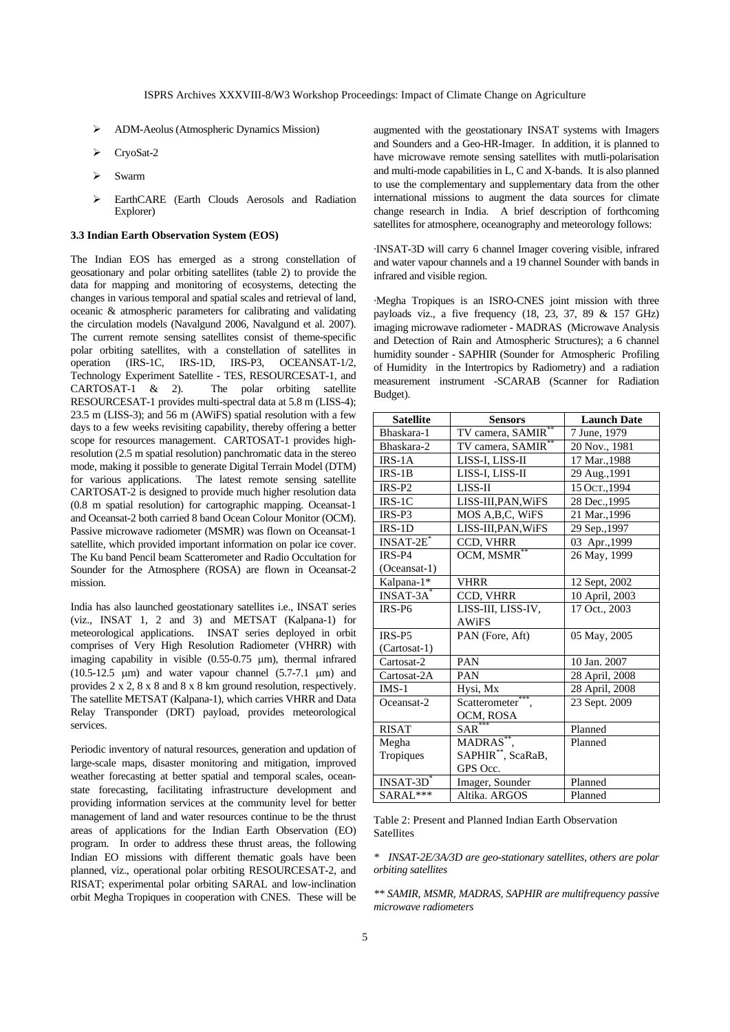- ¾ ADM-Aeolus (Atmospheric Dynamics Mission)
- CryoSat-2
- ¾ Swarm
- EarthCARE (Earth Clouds Aerosols and Radiation Explorer)

#### **3.3 Indian Earth Observation System (EOS)**

The Indian EOS has emerged as a strong constellation of geosationary and polar orbiting satellites (table 2) to provide the data for mapping and monitoring of ecosystems, detecting the changes in various temporal and spatial scales and retrieval of land, oceanic & atmospheric parameters for calibrating and validating the circulation models (Navalgund 2006, Navalgund et al. 2007). The current remote sensing satellites consist of theme-specific polar orbiting satellites, with a constellation of satellites in operation (IRS-1C, IRS-1D, IRS-P3, OCEANSAT-1/2, Technology Experiment Satellite - TES, RESOURCESAT-1, and CARTOSAT-1 & 2). The polar orbiting satellite RESOURCESAT-1 provides multi-spectral data at 5.8 m (LISS-4); 23.5 m (LISS-3); and 56 m (AWiFS) spatial resolution with a few days to a few weeks revisiting capability, thereby offering a better scope for resources management. CARTOSAT-1 provides highresolution (2.5 m spatial resolution) panchromatic data in the stereo mode, making it possible to generate Digital Terrain Model (DTM) for various applications. The latest remote sensing satellite CARTOSAT-2 is designed to provide much higher resolution data (0.8 m spatial resolution) for cartographic mapping. Oceansat-1 and Oceansat-2 both carried 8 band Ocean Colour Monitor (OCM). Passive microwave radiometer (MSMR) was flown on Oceansat-1 satellite, which provided important information on polar ice cover. The Ku band Pencil beam Scatterometer and Radio Occultation for Sounder for the Atmosphere (ROSA) are flown in Oceansat-2 mission.

India has also launched geostationary satellites i.e., INSAT series (viz., INSAT 1, 2 and 3) and METSAT (Kalpana-1) for meteorological applications. INSAT series deployed in orbit comprises of Very High Resolution Radiometer (VHRR) with imaging capability in visible (0.55-0.75 μm), thermal infrared (10.5-12.5  $\mu$ m) and water vapour channel (5.7-7.1  $\mu$ m) and provides 2 x 2, 8 x 8 and 8 x 8 km ground resolution, respectively. The satellite METSAT (Kalpana-1), which carries VHRR and Data Relay Transponder (DRT) payload, provides meteorological services.

Periodic inventory of natural resources, generation and updation of large-scale maps, disaster monitoring and mitigation, improved weather forecasting at better spatial and temporal scales, oceanstate forecasting, facilitating infrastructure development and providing information services at the community level for better management of land and water resources continue to be the thrust areas of applications for the Indian Earth Observation (EO) program. In order to address these thrust areas, the following Indian EO missions with different thematic goals have been planned, viz., operational polar orbiting RESOURCESAT-2, and RISAT; experimental polar orbiting SARAL and low-inclination orbit Megha Tropiques in cooperation with CNES. These will be

augmented with the geostationary INSAT systems with Imagers and Sounders and a Geo-HR-Imager. In addition, it is planned to have microwave remote sensing satellites with mutli-polarisation and multi-mode capabilities in L, C and X-bands. It is also planned to use the complementary and supplementary data from the other international missions to augment the data sources for climate change research in India. A brief description of forthcoming satellites for atmosphere, oceanography and meteorology follows:

·INSAT-3D will carry 6 channel Imager covering visible, infrared and water vapour channels and a 19 channel Sounder with bands in infrared and visible region.

·Megha Tropiques is an ISRO-CNES joint mission with three payloads viz., a five frequency (18, 23, 37, 89 & 157 GHz) imaging microwave radiometer - MADRAS (Microwave Analysis and Detection of Rain and Atmospheric Structures); a 6 channel humidity sounder - SAPHIR (Sounder for Atmospheric Profiling of Humidity in the Intertropics by Radiometry) and a radiation measurement instrument -SCARAB (Scanner for Radiation Budget).

| <b>Satellite</b> | <b>Sensors</b>                    | <b>Launch Date</b> |
|------------------|-----------------------------------|--------------------|
| Bhaskara-1       | TV camera, SAMIR <sup>**</sup>    | 7 June, 1979       |
| Bhaskara-2       | TV camera, SAMIR <sup>**</sup>    | 20 Nov., 1981      |
| $IRS-1A$         | LISS-I, LISS-II                   | 17 Mar., 1988      |
| $IRS-1B$         | LISS-I, LISS-II                   | 29 Aug., 1991      |
| $IRS-P2$         | LISS-II                           | 15 Ост., 1994      |
| $IRS-1C$         | LISS-III, PAN, WiFS               | 28 Dec., 1995      |
| $IRS-P3$         | MOS A, B, C, WiFS                 | 21 Mar., 1996      |
| $IRS-1D$         | LISS-III, PAN, WiFS               | 29 Sep., 1997      |
| $INSAT-2E$       | CCD, VHRR                         | 03 Apr., 1999      |
| $IRS-P4$         | OCM, MSMR <sup>**</sup>           | 26 May, 1999       |
| (Oceansat-1)     |                                   |                    |
| Kalpana-1*       | <b>VHRR</b>                       | 12 Sept, 2002      |
| $INSAT-3A^*$     | CCD, VHRR                         | 10 April, 2003     |
| IRS-P6           | LISS-III, LISS-IV,                | 17 Oct., 2003      |
|                  | <b>AWiFS</b>                      |                    |
| $IRS-P5$         | PAN (Fore, Aft)                   | 05 May, 2005       |
| (Cartosat-1)     |                                   |                    |
| Cartosat-2       | PAN                               | 10 Jan. 2007       |
| Cartosat-2A      | <b>PAN</b>                        | 28 April, 2008     |
| $IMS-1$          | Hysi, Mx                          | 28 April, 2008     |
| Oceansat-2       | ***<br>Scatterometer <sup>*</sup> | 23 Sept. 2009      |
|                  | OCM, ROSA                         |                    |
| <b>RISAT</b>     | SAR                               | Planned            |
| Megha            | MADRAS**.                         | Planned            |
| Tropiques        | SAPHIR <sup>**</sup> , ScaRaB,    |                    |
|                  | GPS Occ.                          |                    |
| $INSAT-3D$       | Imager, Sounder                   | Planned            |
| SARAL***         | Altika. ARGOS                     | Planned            |

Table 2: Present and Planned Indian Earth Observation **Satellites** 

*\* INSAT-2E/3A/3D are geo-stationary satellites, others are polar orbiting satellites* 

*\*\* SAMIR, MSMR, MADRAS, SAPHIR are multifrequency passive microwave radiometers*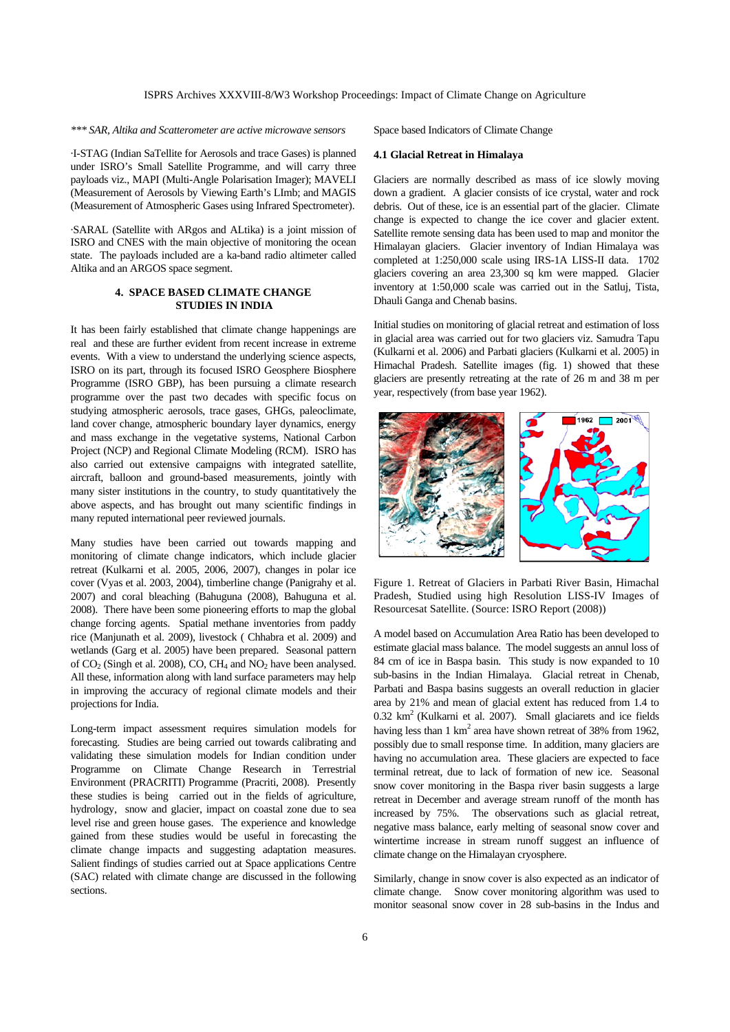# *\*\*\* SAR, Altika and Scatterometer are active microwave sensors*

·I-STAG (Indian SaTellite for Aerosols and trace Gases) is planned under ISRO's Small Satellite Programme, and will carry three payloads viz., MAPI (Multi-Angle Polarisation Imager); MAVELI (Measurement of Aerosols by Viewing Earth's LImb; and MAGIS (Measurement of Atmospheric Gases using Infrared Spectrometer).

·SARAL (Satellite with ARgos and ALtika) is a joint mission of ISRO and CNES with the main objective of monitoring the ocean state. The payloads included are a ka-band radio altimeter called Altika and an ARGOS space segment.

### **4. SPACE BASED CLIMATE CHANGE STUDIES IN INDIA**

It has been fairly established that climate change happenings are real and these are further evident from recent increase in extreme events. With a view to understand the underlying science aspects, ISRO on its part, through its focused ISRO Geosphere Biosphere Programme (ISRO GBP), has been pursuing a climate research programme over the past two decades with specific focus on studying atmospheric aerosols, trace gases, GHGs, paleoclimate, land cover change, atmospheric boundary layer dynamics, energy and mass exchange in the vegetative systems, National Carbon Project (NCP) and Regional Climate Modeling (RCM). ISRO has also carried out extensive campaigns with integrated satellite, aircraft, balloon and ground-based measurements, jointly with many sister institutions in the country, to study quantitatively the above aspects, and has brought out many scientific findings in many reputed international peer reviewed journals.

Many studies have been carried out towards mapping and monitoring of climate change indicators, which include glacier retreat (Kulkarni et al. 2005, 2006, 2007), changes in polar ice cover (Vyas et al. 2003, 2004), timberline change (Panigrahy et al. 2007) and coral bleaching (Bahuguna (2008), Bahuguna et al. 2008). There have been some pioneering efforts to map the global change forcing agents. Spatial methane inventories from paddy rice (Manjunath et al. 2009), livestock ( Chhabra et al. 2009) and wetlands (Garg et al. 2005) have been prepared. Seasonal pattern of  $CO<sub>2</sub>$  (Singh et al. 2008),  $CO$ ,  $CH<sub>4</sub>$  and  $NO<sub>2</sub>$  have been analysed. All these, information along with land surface parameters may help in improving the accuracy of regional climate models and their projections for India.

Long-term impact assessment requires simulation models for forecasting. Studies are being carried out towards calibrating and validating these simulation models for Indian condition under Programme on Climate Change Research in Terrestrial Environment (PRACRITI) Programme (Pracriti, 2008). Presently these studies is being carried out in the fields of agriculture, hydrology, snow and glacier, impact on coastal zone due to sea level rise and green house gases. The experience and knowledge gained from these studies would be useful in forecasting the climate change impacts and suggesting adaptation measures. Salient findings of studies carried out at Space applications Centre (SAC) related with climate change are discussed in the following sections.

Space based Indicators of Climate Change

### **4.1 Glacial Retreat in Himalaya**

Glaciers are normally described as mass of ice slowly moving down a gradient. A glacier consists of ice crystal, water and rock debris. Out of these, ice is an essential part of the glacier. Climate change is expected to change the ice cover and glacier extent. Satellite remote sensing data has been used to map and monitor the Himalayan glaciers. Glacier inventory of Indian Himalaya was completed at 1:250,000 scale using IRS-1A LISS-II data. 1702 glaciers covering an area 23,300 sq km were mapped. Glacier inventory at 1:50,000 scale was carried out in the Satluj, Tista, Dhauli Ganga and Chenab basins.

Initial studies on monitoring of glacial retreat and estimation of loss in glacial area was carried out for two glaciers viz. Samudra Tapu (Kulkarni et al. 2006) and Parbati glaciers (Kulkarni et al. 2005) in Himachal Pradesh. Satellite images (fig. 1) showed that these glaciers are presently retreating at the rate of 26 m and 38 m per year, respectively (from base year 1962).



Figure 1. Retreat of Glaciers in Parbati River Basin, Himachal Pradesh, Studied using high Resolution LISS-IV Images of Resourcesat Satellite. (Source: ISRO Report (2008))

A model based on Accumulation Area Ratio has been developed to estimate glacial mass balance. The model suggests an annul loss of 84 cm of ice in Baspa basin. This study is now expanded to 10 sub-basins in the Indian Himalaya. Glacial retreat in Chenab, Parbati and Baspa basins suggests an overall reduction in glacier area by 21% and mean of glacial extent has reduced from 1.4 to  $0.32 \text{ km}^2$  (Kulkarni et al. 2007). Small glaciarets and ice fields having less than 1  $km^2$  area have shown retreat of 38% from 1962, possibly due to small response time. In addition, many glaciers are having no accumulation area. These glaciers are expected to face terminal retreat, due to lack of formation of new ice. Seasonal snow cover monitoring in the Baspa river basin suggests a large retreat in December and average stream runoff of the month has increased by 75%. The observations such as glacial retreat, negative mass balance, early melting of seasonal snow cover and wintertime increase in stream runoff suggest an influence of climate change on the Himalayan cryosphere.

Similarly, change in snow cover is also expected as an indicator of climate change. Snow cover monitoring algorithm was used to monitor seasonal snow cover in 28 sub-basins in the Indus and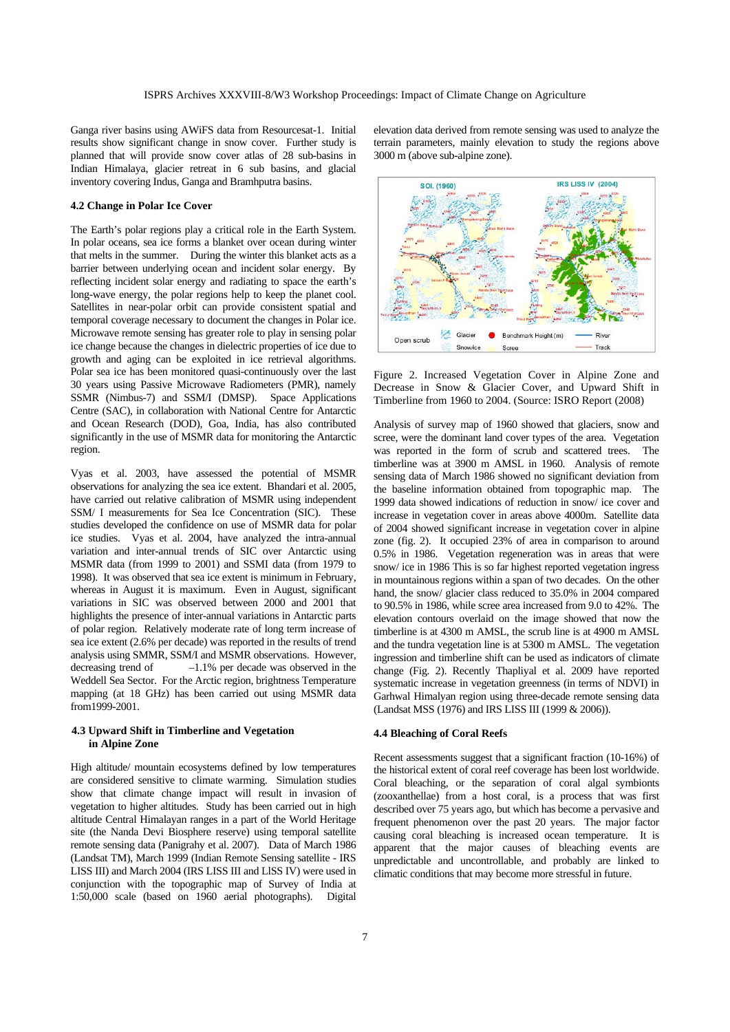Ganga river basins using AWiFS data from Resourcesat-1. Initial results show significant change in snow cover. Further study is planned that will provide snow cover atlas of 28 sub-basins in Indian Himalaya, glacier retreat in 6 sub basins, and glacial inventory covering Indus, Ganga and Bramhputra basins.

### **4.2 Change in Polar Ice Cover**

The Earth's polar regions play a critical role in the Earth System. In polar oceans, sea ice forms a blanket over ocean during winter that melts in the summer. During the winter this blanket acts as a barrier between underlying ocean and incident solar energy. By reflecting incident solar energy and radiating to space the earth's long-wave energy, the polar regions help to keep the planet cool. Satellites in near-polar orbit can provide consistent spatial and temporal coverage necessary to document the changes in Polar ice. Microwave remote sensing has greater role to play in sensing polar ice change because the changes in dielectric properties of ice due to growth and aging can be exploited in ice retrieval algorithms. Polar sea ice has been monitored quasi-continuously over the last 30 years using Passive Microwave Radiometers (PMR), namely SSMR (Nimbus-7) and SSM/I (DMSP). Space Applications Centre (SAC), in collaboration with National Centre for Antarctic and Ocean Research (DOD), Goa, India, has also contributed significantly in the use of MSMR data for monitoring the Antarctic region.

Vyas et al. 2003, have assessed the potential of MSMR observations for analyzing the sea ice extent. Bhandari et al. 2005, have carried out relative calibration of MSMR using independent SSM/ I measurements for Sea Ice Concentration (SIC). These studies developed the confidence on use of MSMR data for polar ice studies. Vyas et al. 2004, have analyzed the intra-annual variation and inter-annual trends of SIC over Antarctic using MSMR data (from 1999 to 2001) and SSMI data (from 1979 to 1998). It was observed that sea ice extent is minimum in February, whereas in August it is maximum. Even in August, significant variations in SIC was observed between 2000 and 2001 that highlights the presence of inter-annual variations in Antarctic parts of polar region. Relatively moderate rate of long term increase of sea ice extent (2.6% per decade) was reported in the results of trend analysis using SMMR, SSM/I and MSMR observations. However, decreasing trend of –1.1% per decade was observed in the Weddell Sea Sector. For the Arctic region, brightness Temperature mapping (at 18 GHz) has been carried out using MSMR data from1999-2001.

# **4.3 Upward Shift in Timberline and Vegetation in Alpine Zone**

High altitude/ mountain ecosystems defined by low temperatures are considered sensitive to climate warming. Simulation studies show that climate change impact will result in invasion of vegetation to higher altitudes. Study has been carried out in high altitude Central Himalayan ranges in a part of the World Heritage site (the Nanda Devi Biosphere reserve) using temporal satellite remote sensing data (Panigrahy et al. 2007). Data of March 1986 (Landsat TM), March 1999 (Indian Remote Sensing satellite - IRS LISS III) and March 2004 (IRS LISS III and LlSS IV) were used in conjunction with the topographic map of Survey of India at 1:50,000 scale (based on 1960 aerial photographs). Digital elevation data derived from remote sensing was used to analyze the terrain parameters, mainly elevation to study the regions above 3000 m (above sub-alpine zone).



Figure 2. Increased Vegetation Cover in Alpine Zone and Decrease in Snow & Glacier Cover, and Upward Shift in Timberline from 1960 to 2004. (Source: ISRO Report (2008)

Analysis of survey map of 1960 showed that glaciers, snow and scree, were the dominant land cover types of the area. Vegetation was reported in the form of scrub and scattered trees. The timberline was at 3900 m AMSL in 1960. Analysis of remote sensing data of March 1986 showed no significant deviation from the baseline information obtained from topographic map. The 1999 data showed indications of reduction in snow/ ice cover and increase in vegetation cover in areas above 4000m. Satellite data of 2004 showed significant increase in vegetation cover in alpine zone (fig. 2). It occupied 23% of area in comparison to around 0.5% in 1986. Vegetation regeneration was in areas that were snow/ ice in 1986 This is so far highest reported vegetation ingress in mountainous regions within a span of two decades. On the other hand, the snow/ glacier class reduced to 35.0% in 2004 compared to 90.5% in 1986, while scree area increased from 9.0 to 42%. The elevation contours overlaid on the image showed that now the timberline is at 4300 m AMSL, the scrub line is at 4900 m AMSL and the tundra vegetation line is at 5300 m AMSL. The vegetation ingression and timberline shift can be used as indicators of climate change (Fig. 2). Recently Thapliyal et al. 2009 have reported systematic increase in vegetation greenness (in terms of NDVI) in Garhwal Himalyan region using three-decade remote sensing data (Landsat MSS (1976) and IRS LISS III (1999 & 2006)).

### **4.4 Bleaching of Coral Reefs**

Recent assessments suggest that a significant fraction (10-16%) of the historical extent of coral reef coverage has been lost worldwide. Coral bleaching, or the separation of coral algal symbionts (zooxanthellae) from a host coral, is a process that was first described over 75 years ago, but which has become a pervasive and frequent phenomenon over the past 20 years. The major factor causing coral bleaching is increased ocean temperature. It is apparent that the major causes of bleaching events are unpredictable and uncontrollable, and probably are linked to climatic conditions that may become more stressful in future.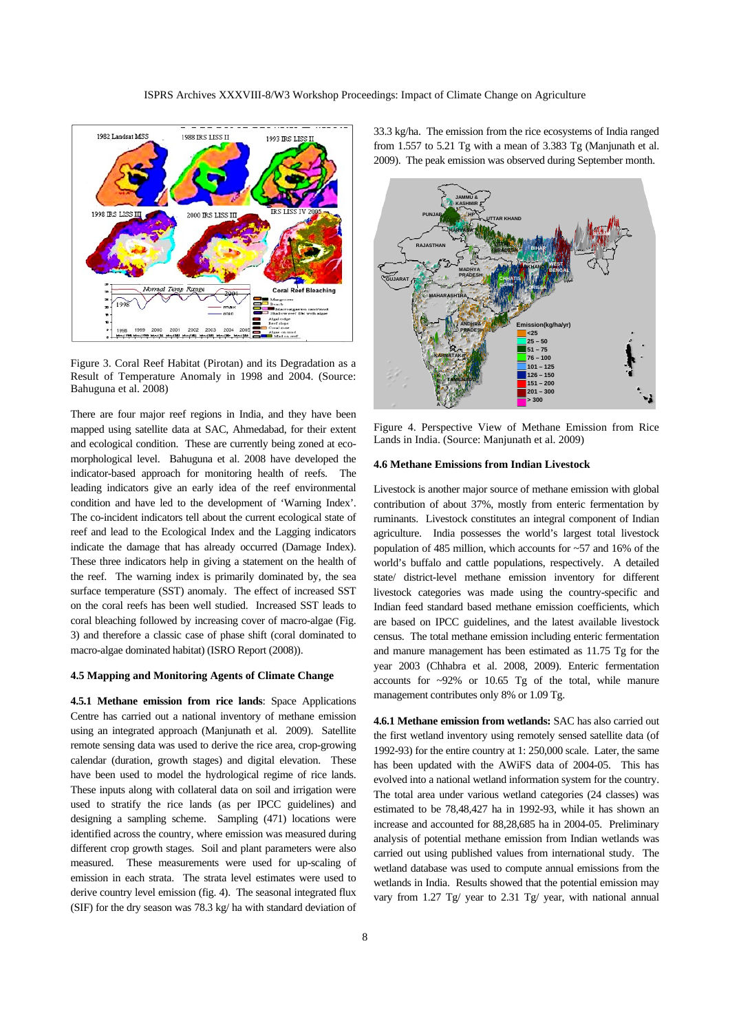

Figure 3. Coral Reef Habitat (Pirotan) and its Degradation as a Result of Temperature Anomaly in 1998 and 2004. (Source: Bahuguna et al. 2008)

There are four major reef regions in India, and they have been mapped using satellite data at SAC, Ahmedabad, for their extent and ecological condition. These are currently being zoned at ecomorphological level. Bahuguna et al. 2008 have developed the indicator-based approach for monitoring health of reefs. The leading indicators give an early idea of the reef environmental condition and have led to the development of 'Warning Index'. The co-incident indicators tell about the current ecological state of reef and lead to the Ecological Index and the Lagging indicators indicate the damage that has already occurred (Damage Index). These three indicators help in giving a statement on the health of the reef. The warning index is primarily dominated by, the sea surface temperature (SST) anomaly. The effect of increased SST on the coral reefs has been well studied. Increased SST leads to coral bleaching followed by increasing cover of macro-algae (Fig. 3) and therefore a classic case of phase shift (coral dominated to macro-algae dominated habitat) (ISRO Report (2008)).

## **4.5 Mapping and Monitoring Agents of Climate Change**

**4.5.1 Methane emission from rice lands**: Space Applications Centre has carried out a national inventory of methane emission using an integrated approach (Manjunath et al. 2009). Satellite remote sensing data was used to derive the rice area, crop-growing calendar (duration, growth stages) and digital elevation. These have been used to model the hydrological regime of rice lands. These inputs along with collateral data on soil and irrigation were used to stratify the rice lands (as per IPCC guidelines) and designing a sampling scheme. Sampling (471) locations were identified across the country, where emission was measured during different crop growth stages. Soil and plant parameters were also measured. These measurements were used for up-scaling of emission in each strata. The strata level estimates were used to derive country level emission (fig. 4). The seasonal integrated flux (SIF) for the dry season was 78.3 kg/ ha with standard deviation of 33.3 kg/ha. The emission from the rice ecosystems of India ranged from 1.557 to 5.21 Tg with a mean of 3.383 Tg (Manjunath et al. 2009). The peak emission was observed during September month.



Figure 4. Perspective View of Methane Emission from Rice Lands in India. (Source: Manjunath et al. 2009)

#### **4.6 Methane Emissions from Indian Livestock**

Livestock is another major source of methane emission with global contribution of about 37%, mostly from enteric fermentation by ruminants. Livestock constitutes an integral component of Indian agriculture. India possesses the world's largest total livestock population of 485 million, which accounts for ~57 and 16% of the world's buffalo and cattle populations, respectively. A detailed state/ district-level methane emission inventory for different livestock categories was made using the country-specific and Indian feed standard based methane emission coefficients, which are based on IPCC guidelines, and the latest available livestock census. The total methane emission including enteric fermentation and manure management has been estimated as 11.75 Tg for the year 2003 (Chhabra et al. 2008, 2009). Enteric fermentation accounts for ~92% or 10.65 Tg of the total, while manure management contributes only 8% or 1.09 Tg.

**4.6.1 Methane emission from wetlands:** SAC has also carried out the first wetland inventory using remotely sensed satellite data (of 1992-93) for the entire country at 1: 250,000 scale. Later, the same has been updated with the AWiFS data of 2004-05. This has evolved into a national wetland information system for the country. The total area under various wetland categories (24 classes) was estimated to be 78,48,427 ha in 1992-93, while it has shown an increase and accounted for 88,28,685 ha in 2004-05. Preliminary analysis of potential methane emission from Indian wetlands was carried out using published values from international study. The wetland database was used to compute annual emissions from the wetlands in India. Results showed that the potential emission may vary from 1.27 Tg/ year to 2.31 Tg/ year, with national annual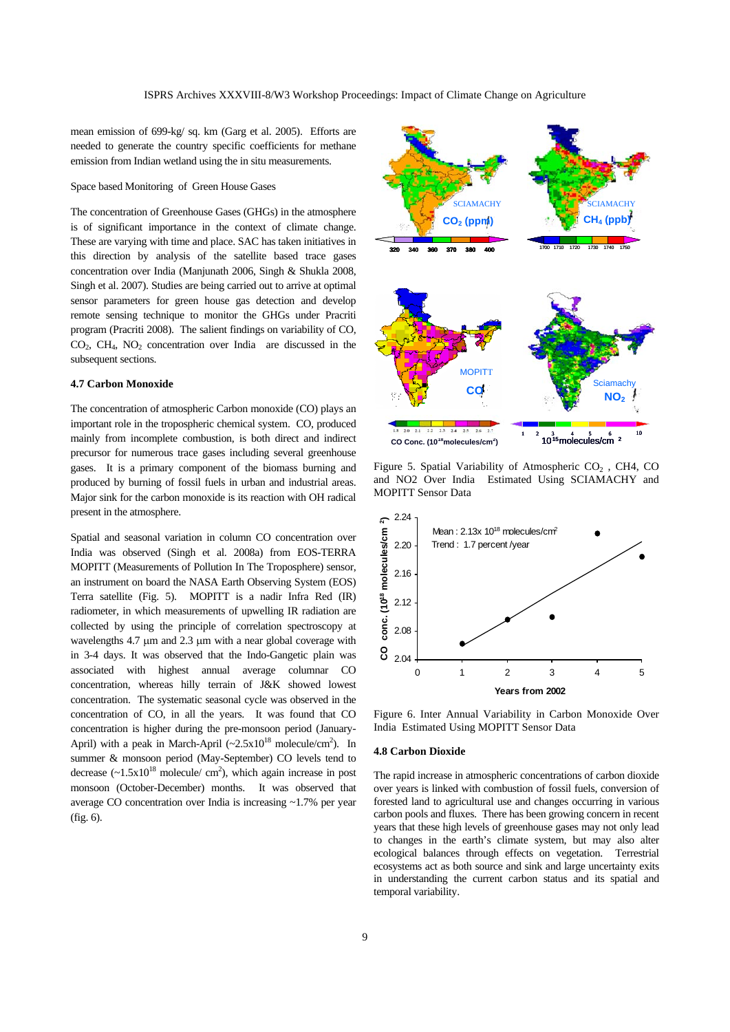mean emission of 699-kg/ sq. km (Garg et al. 2005). Efforts are needed to generate the country specific coefficients for methane emission from Indian wetland using the in situ measurements.

## Space based Monitoring of Green House Gases

The concentration of Greenhouse Gases (GHGs) in the atmosphere is of significant importance in the context of climate change. These are varying with time and place. SAC has taken initiatives in this direction by analysis of the satellite based trace gases concentration over India (Manjunath 2006, Singh & Shukla 2008, Singh et al. 2007). Studies are being carried out to arrive at optimal sensor parameters for green house gas detection and develop remote sensing technique to monitor the GHGs under Pracriti program (Pracriti 2008). The salient findings on variability of CO,  $CO<sub>2</sub>$ ,  $CH<sub>4</sub>$ , NO<sub>2</sub> concentration over India are discussed in the subsequent sections.

# **4.7 Carbon Monoxide**

The concentration of atmospheric Carbon monoxide (CO) plays an important role in the tropospheric chemical system. CO, produced mainly from incomplete combustion, is both direct and indirect precursor for numerous trace gases including several greenhouse gases. It is a primary component of the biomass burning and produced by burning of fossil fuels in urban and industrial areas. Major sink for the carbon monoxide is its reaction with OH radical present in the atmosphere.

Spatial and seasonal variation in column CO concentration over India was observed (Singh et al. 2008a) from EOS-TERRA MOPITT (Measurements of Pollution In The Troposphere) sensor, an instrument on board the NASA Earth Observing System (EOS) Terra satellite (Fig. 5). MOPITT is a nadir Infra Red (IR) radiometer, in which measurements of upwelling IR radiation are collected by using the principle of correlation spectroscopy at wavelengths 4.7 μm and 2.3 μm with a near global coverage with in 3-4 days. It was observed that the Indo-Gangetic plain was associated with highest annual average columnar CO concentration, whereas hilly terrain of J&K showed lowest concentration. The systematic seasonal cycle was observed in the concentration of CO, in all the years. It was found that CO concentration is higher during the pre-monsoon period (January-April) with a peak in March-April  $({\sim}2.5 \times 10^{18} \text{ molecule/cm}^2)$ . In summer & monsoon period (May-September) CO levels tend to decrease  $(-1.5x10^{18}$  molecule/ cm<sup>2</sup>), which again increase in post monsoon (October-December) months. It was observed that average CO concentration over India is increasing ~1.7% per year (fig. 6).



Figure 5. Spatial Variability of Atmospheric  $CO<sub>2</sub>$ , CH4, CO and NO2 Over India Estimated Using SCIAMACHY and MOPITT Sensor Data



Figure 6. Inter Annual Variability in Carbon Monoxide Over India Estimated Using MOPITT Sensor Data

#### **4.8 Carbon Dioxide**

The rapid increase in atmospheric concentrations of carbon dioxide over years is linked with combustion of fossil fuels, conversion of forested land to agricultural use and changes occurring in various carbon pools and fluxes. There has been growing concern in recent years that these high levels of greenhouse gases may not only lead to changes in the earth's climate system, but may also alter ecological balances through effects on vegetation. Terrestrial ecosystems act as both source and sink and large uncertainty exits in understanding the current carbon status and its spatial and temporal variability.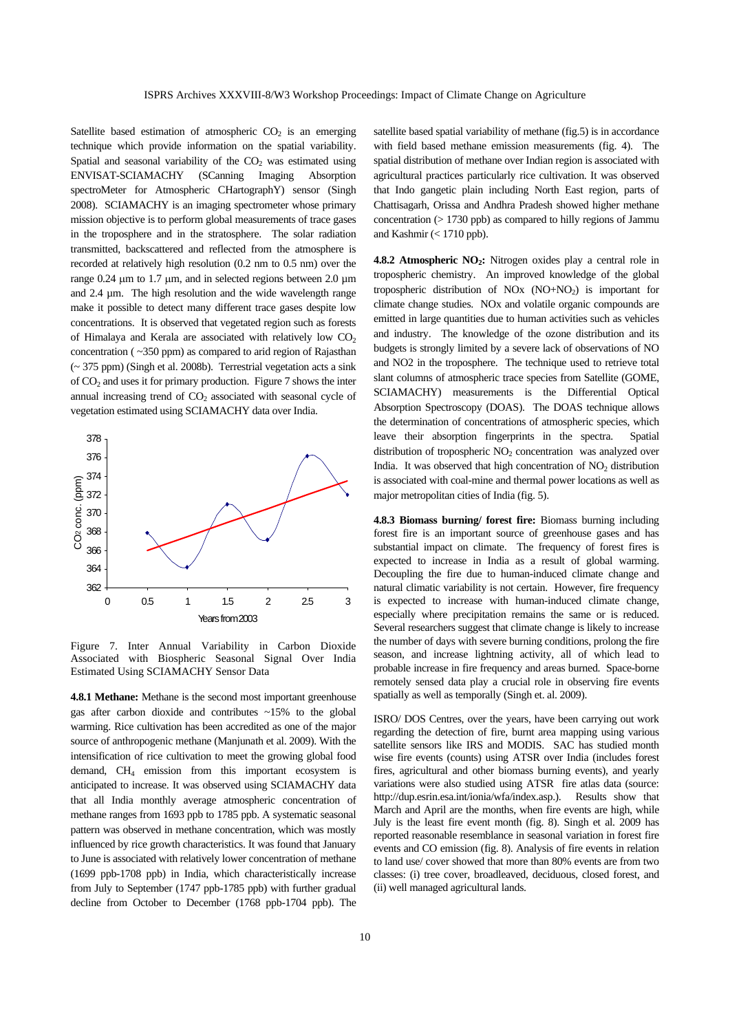Satellite based estimation of atmospheric  $CO<sub>2</sub>$  is an emerging technique which provide information on the spatial variability. Spatial and seasonal variability of the  $CO<sub>2</sub>$  was estimated using ENVISAT-SCIAMACHY (SCanning Imaging Absorption spectroMeter for Atmospheric CHartographY) sensor (Singh 2008). SCIAMACHY is an imaging spectrometer whose primary mission objective is to perform global measurements of trace gases in the troposphere and in the stratosphere. The solar radiation transmitted, backscattered and reflected from the atmosphere is recorded at relatively high resolution (0.2 nm to 0.5 nm) over the range 0.24 μm to 1.7 μm, and in selected regions between 2.0 µm and 2.4 µm. The high resolution and the wide wavelength range make it possible to detect many different trace gases despite low concentrations. It is observed that vegetated region such as forests of Himalaya and Kerala are associated with relatively low  $CO<sub>2</sub>$ concentration ( ~350 ppm) as compared to arid region of Rajasthan (~ 375 ppm) (Singh et al. 2008b). Terrestrial vegetation acts a sink of  $CO<sub>2</sub>$  and uses it for primary production. Figure 7 shows the inter annual increasing trend of  $CO<sub>2</sub>$  associated with seasonal cycle of vegetation estimated using SCIAMACHY data over India.



Figure 7. Inter Annual Variability in Carbon Dioxide Associated with Biospheric Seasonal Signal Over India Estimated Using SCIAMACHY Sensor Data

**4.8.1 Methane:** Methane is the second most important greenhouse gas after carbon dioxide and contributes ~15% to the global warming. Rice cultivation has been accredited as one of the major source of anthropogenic methane (Manjunath et al. 2009). With the intensification of rice cultivation to meet the growing global food demand, CH4 emission from this important ecosystem is anticipated to increase. It was observed using SCIAMACHY data that all India monthly average atmospheric concentration of methane ranges from 1693 ppb to 1785 ppb. A systematic seasonal pattern was observed in methane concentration, which was mostly influenced by rice growth characteristics. It was found that January to June is associated with relatively lower concentration of methane (1699 ppb-1708 ppb) in India, which characteristically increase from July to September (1747 ppb-1785 ppb) with further gradual decline from October to December (1768 ppb-1704 ppb). The satellite based spatial variability of methane (fig.5) is in accordance with field based methane emission measurements (fig. 4). The spatial distribution of methane over Indian region is associated with agricultural practices particularly rice cultivation. It was observed that Indo gangetic plain including North East region, parts of Chattisagarh, Orissa and Andhra Pradesh showed higher methane concentration (> 1730 ppb) as compared to hilly regions of Jammu and Kashmir (< 1710 ppb).

4.8.2 Atmospheric NO<sub>2</sub>: Nitrogen oxides play a central role in tropospheric chemistry. An improved knowledge of the global tropospheric distribution of  $NOx (NO+NO<sub>2</sub>)$  is important for climate change studies. NOx and volatile organic compounds are emitted in large quantities due to human activities such as vehicles and industry. The knowledge of the ozone distribution and its budgets is strongly limited by a severe lack of observations of NO and NO2 in the troposphere. The technique used to retrieve total slant columns of atmospheric trace species from Satellite (GOME, SCIAMACHY) measurements is the Differential Optical Absorption Spectroscopy (DOAS). The DOAS technique allows the determination of concentrations of atmospheric species, which leave their absorption fingerprints in the spectra. Spatial distribution of tropospheric  $NO<sub>2</sub>$  concentration was analyzed over India. It was observed that high concentration of  $NO<sub>2</sub>$  distribution is associated with coal-mine and thermal power locations as well as major metropolitan cities of India (fig. 5).

**4.8.3 Biomass burning/ forest fire:** Biomass burning including forest fire is an important source of greenhouse gases and has substantial impact on climate. The frequency of forest fires is expected to increase in India as a result of global warming. Decoupling the fire due to human-induced climate change and natural climatic variability is not certain. However, fire frequency is expected to increase with human-induced climate change, especially where precipitation remains the same or is reduced. Several researchers suggest that climate change is likely to increase the number of days with severe burning conditions, prolong the fire season, and increase lightning activity, all of which lead to probable increase in fire frequency and areas burned. Space-borne remotely sensed data play a crucial role in observing fire events spatially as well as temporally (Singh et. al. 2009).

ISRO/ DOS Centres, over the years, have been carrying out work regarding the detection of fire, burnt area mapping using various satellite sensors like IRS and MODIS. SAC has studied month wise fire events (counts) using ATSR over India (includes forest fires, agricultural and other biomass burning events), and yearly variations were also studied using ATSR fire atlas data (source: http://dup.esrin.esa.int/ionia/wfa/index.asp.). Results show that March and April are the months, when fire events are high, while July is the least fire event month (fig. 8). Singh et al. 2009 has reported reasonable resemblance in seasonal variation in forest fire events and CO emission (fig. 8). Analysis of fire events in relation to land use/ cover showed that more than 80% events are from two classes: (i) tree cover, broadleaved, deciduous, closed forest, and (ii) well managed agricultural lands.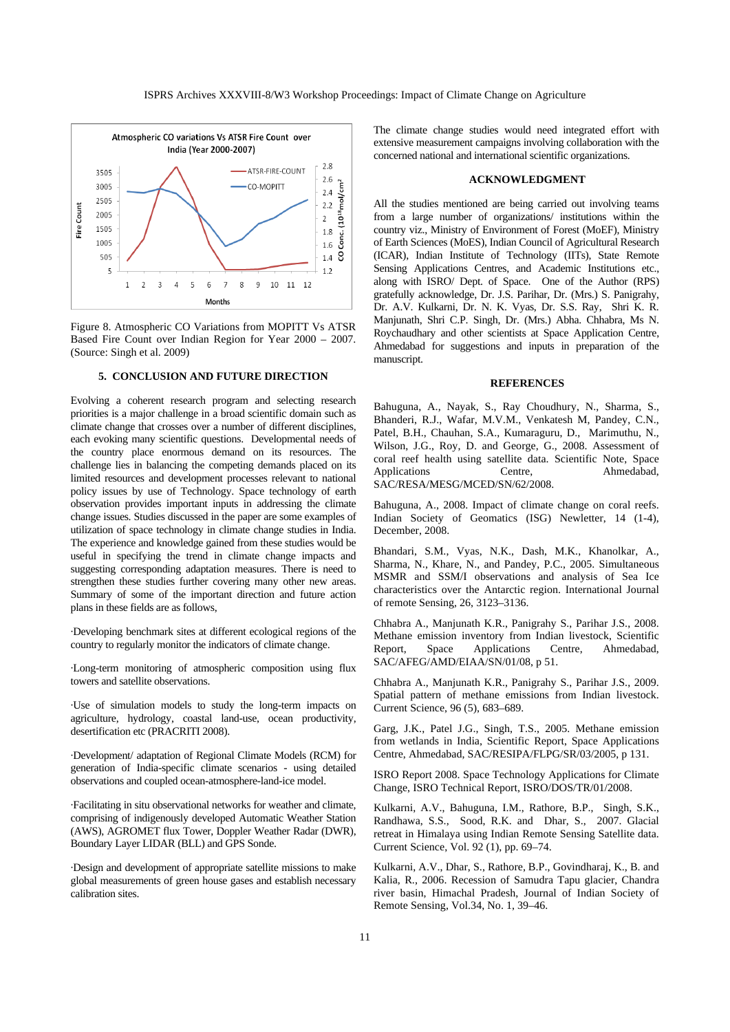

Figure 8. Atmospheric CO Variations from MOPITT Vs ATSR Based Fire Count over Indian Region for Year 2000 – 2007. (Source: Singh et al. 2009)

#### **5. CONCLUSION AND FUTURE DIRECTION**

Evolving a coherent research program and selecting research priorities is a major challenge in a broad scientific domain such as climate change that crosses over a number of different disciplines, each evoking many scientific questions. Developmental needs of the country place enormous demand on its resources. The challenge lies in balancing the competing demands placed on its limited resources and development processes relevant to national policy issues by use of Technology. Space technology of earth observation provides important inputs in addressing the climate change issues. Studies discussed in the paper are some examples of utilization of space technology in climate change studies in India. The experience and knowledge gained from these studies would be useful in specifying the trend in climate change impacts and suggesting corresponding adaptation measures. There is need to strengthen these studies further covering many other new areas. Summary of some of the important direction and future action plans in these fields are as follows,

·Developing benchmark sites at different ecological regions of the country to regularly monitor the indicators of climate change.

·Long-term monitoring of atmospheric composition using flux towers and satellite observations.

·Use of simulation models to study the long-term impacts on agriculture, hydrology, coastal land-use, ocean productivity, desertification etc (PRACRITI 2008).

·Development/ adaptation of Regional Climate Models (RCM) for generation of India-specific climate scenarios - using detailed observations and coupled ocean-atmosphere-land-ice model.

·Facilitating in situ observational networks for weather and climate, comprising of indigenously developed Automatic Weather Station (AWS), AGROMET flux Tower, Doppler Weather Radar (DWR), Boundary Layer LIDAR (BLL) and GPS Sonde.

·Design and development of appropriate satellite missions to make global measurements of green house gases and establish necessary calibration sites.

The climate change studies would need integrated effort with extensive measurement campaigns involving collaboration with the concerned national and international scientific organizations.

# **ACKNOWLEDGMENT**

All the studies mentioned are being carried out involving teams from a large number of organizations/ institutions within the country viz., Ministry of Environment of Forest (MoEF), Ministry of Earth Sciences (MoES), Indian Council of Agricultural Research (ICAR), Indian Institute of Technology (IITs), State Remote Sensing Applications Centres, and Academic Institutions etc., along with ISRO/ Dept. of Space. One of the Author (RPS) gratefully acknowledge, Dr. J.S. Parihar, Dr. (Mrs.) S. Panigrahy, Dr. A.V. Kulkarni, Dr. N. K. Vyas, Dr. S.S. Ray, Shri K. R. Manjunath, Shri C.P. Singh, Dr. (Mrs.) Abha. Chhabra, Ms N. Roychaudhary and other scientists at Space Application Centre, Ahmedabad for suggestions and inputs in preparation of the manuscript.

## **REFERENCES**

Bahuguna, A., Nayak, S., Ray Choudhury, N., Sharma, S., Bhanderi, R.J., Wafar, M.V.M., Venkatesh M, Pandey, C.N., Patel, B.H., Chauhan, S.A., Kumaraguru, D., Marimuthu, N., Wilson, J.G., Roy, D. and George, G., 2008. Assessment of coral reef health using satellite data. Scientific Note, Space Applications Centre, Ahmedabad, SAC/RESA/MESG/MCED/SN/62/2008.

Bahuguna, A., 2008. Impact of climate change on coral reefs. Indian Society of Geomatics (ISG) Newletter, 14 (1-4), December, 2008.

Bhandari, S.M., Vyas, N.K., Dash, M.K., Khanolkar, A., Sharma, N., Khare, N., and Pandey, P.C., 2005. Simultaneous MSMR and SSM/I observations and analysis of Sea Ice characteristics over the Antarctic region. International Journal of remote Sensing, 26, 3123–3136.

Chhabra A., Manjunath K.R., Panigrahy S., Parihar J.S., 2008. Methane emission inventory from Indian livestock, Scientific Report, Space Applications Centre, Ahmedabad, SAC/AFEG/AMD/EIAA/SN/01/08, p 51.

Chhabra A., Manjunath K.R., Panigrahy S., Parihar J.S., 2009. Spatial pattern of methane emissions from Indian livestock. Current Science, 96 (5), 683–689.

Garg, J.K., Patel J.G., Singh, T.S., 2005. Methane emission from wetlands in India, Scientific Report, Space Applications Centre, Ahmedabad, SAC/RESIPA/FLPG/SR/03/2005, p 131.

ISRO Report 2008. Space Technology Applications for Climate Change, ISRO Technical Report, ISRO/DOS/TR/01/2008.

Kulkarni, A.V., Bahuguna, I.M., Rathore, B.P., Singh, S.K., Randhawa, S.S., Sood, R.K. and Dhar, S., 2007. Glacial retreat in Himalaya using Indian Remote Sensing Satellite data. Current Science, Vol. 92 (1), pp. 69–74.

Kulkarni, A.V., Dhar, S., Rathore, B.P., Govindharaj, K., B. and Kalia, R., 2006. Recession of Samudra Tapu glacier, Chandra river basin, Himachal Pradesh, Journal of Indian Society of Remote Sensing, Vol.34, No. 1, 39–46.